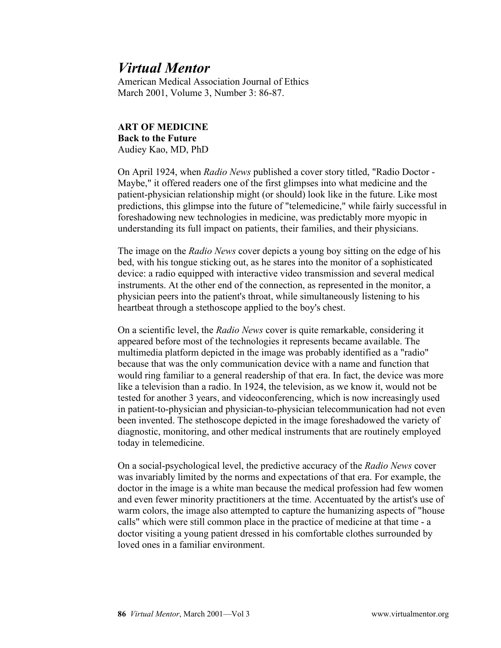## *Virtual Mentor*

American Medical Association Journal of Ethics March 2001, Volume 3, Number 3: 86-87.

## **ART OF MEDICINE Back to the Future** Audiey Kao, MD, PhD

On April 1924, when *Radio News* published a cover story titled, "Radio Doctor - Maybe," it offered readers one of the first glimpses into what medicine and the patient-physician relationship might (or should) look like in the future. Like most predictions, this glimpse into the future of "telemedicine," while fairly successful in foreshadowing new technologies in medicine, was predictably more myopic in understanding its full impact on patients, their families, and their physicians.

The image on the *Radio News* cover depicts a young boy sitting on the edge of his bed, with his tongue sticking out, as he stares into the monitor of a sophisticated device: a radio equipped with interactive video transmission and several medical instruments. At the other end of the connection, as represented in the monitor, a physician peers into the patient's throat, while simultaneously listening to his heartbeat through a stethoscope applied to the boy's chest.

On a scientific level, the *Radio News* cover is quite remarkable, considering it appeared before most of the technologies it represents became available. The multimedia platform depicted in the image was probably identified as a "radio" because that was the only communication device with a name and function that would ring familiar to a general readership of that era. In fact, the device was more like a television than a radio. In 1924, the television, as we know it, would not be tested for another 3 years, and videoconferencing, which is now increasingly used in patient-to-physician and physician-to-physician telecommunication had not even been invented. The stethoscope depicted in the image foreshadowed the variety of diagnostic, monitoring, and other medical instruments that are routinely employed today in telemedicine.

On a social-psychological level, the predictive accuracy of the *Radio News* cover was invariably limited by the norms and expectations of that era. For example, the doctor in the image is a white man because the medical profession had few women and even fewer minority practitioners at the time. Accentuated by the artist's use of warm colors, the image also attempted to capture the humanizing aspects of "house calls" which were still common place in the practice of medicine at that time - a doctor visiting a young patient dressed in his comfortable clothes surrounded by loved ones in a familiar environment.